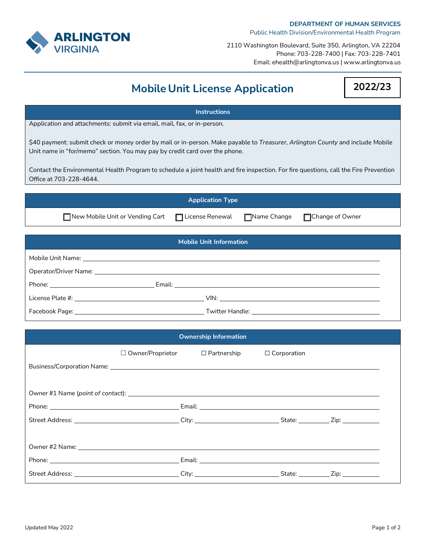

## **DEPARTMENT OF HUMAN SERVICES**

Public Health Division/Environmental Health Program

2110 Washington Boulevard, Suite 350, Arlington, VA 22204 Phone: 703-228-7400 | Fax: 703-228-7401 Email: ehealth@arlingtonva.us | www.arlingtonva.us

## **Mobile Unit License Application**

## **Instructions** Application and attachments: submit via email, mail, fax, or in-person. \$40 payment: submit check or money order by mail or in-person. Make payable to *Treasurer, Arlington County* and include Mobile Unit name in "for/memo" section. You may pay by credit card over the phone. Contact the Environmental Health Program to schedule a joint health and fire inspection. For fire questions, call the Fire Prevention Office at 703-228-4644. **Application Type □ New Mobile Unit or Vending Cart** □ License Renewal □ Name Change □ Change of Owner **Mobile Unit Information** Mobile Unit Name: Operator/Driver Name: Phone: Email: License Plate #: VIN: Facebook Page: Twitter Handle: **Ownership Information**

|                                                                                                                | $\Box$ Owner/Proprietor $\Box$ Partnership |  | $\Box$ Corporation |                             |  |  |  |
|----------------------------------------------------------------------------------------------------------------|--------------------------------------------|--|--------------------|-----------------------------|--|--|--|
| Business/Corporation Name: 1988 and 2008 and 2008 and 2008 and 2008 and 2008 and 2008 and 2008 and 2008 and 20 |                                            |  |                    |                             |  |  |  |
|                                                                                                                |                                            |  |                    |                             |  |  |  |
|                                                                                                                |                                            |  |                    |                             |  |  |  |
|                                                                                                                |                                            |  |                    |                             |  |  |  |
|                                                                                                                |                                            |  |                    |                             |  |  |  |
|                                                                                                                |                                            |  |                    |                             |  |  |  |
|                                                                                                                |                                            |  |                    |                             |  |  |  |
|                                                                                                                |                                            |  |                    |                             |  |  |  |
|                                                                                                                |                                            |  |                    | State: $\qquad \qquad$ Zip: |  |  |  |